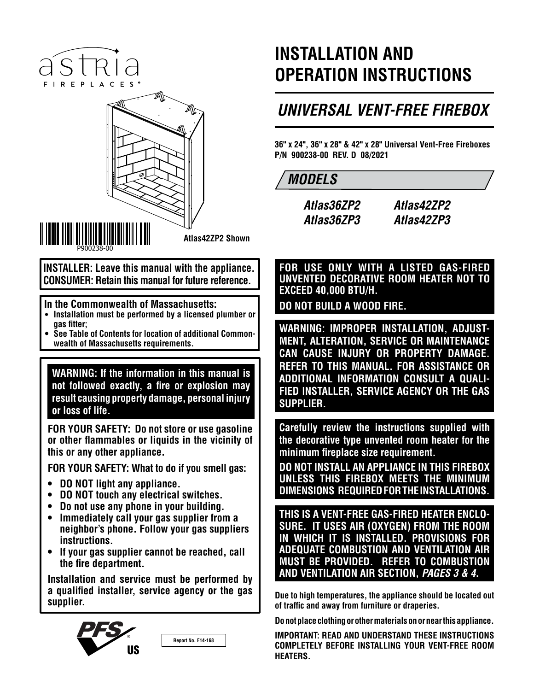# istria FIREPLACES<sup>®</sup>



**Atlas42ZP2 Shown**

**INSTALLER: Leave this manual with the appliance. CONSUMER: Retain this manual for future reference.**

### **In the Commonwealth of Massachusetts:**

- **• Installation must be performed by a licensed plumber or gas fitter;**
- **• See Table of Contents for location of additional Commonwealth of Massachusetts requirements.**

**WARNING: If the information in this manual is not followed exactly, a fire or explosion may result causing property damage, personal injury or loss of life.**

**FOR YOUR SAFETY: Do not store or use gasoline or other flammables or liquids in the vicinity of this or any other appliance.**

**FOR YOUR SAFETY: What to do if you smell gas:**

- **• DO NOT light any appliance.**
- **• DO NOT touch any electrical switches.**
- **• Do not use any phone in your building.**
- **• Immediately call your gas supplier from a neighbor's phone. Follow your gas suppliers instructions.**
- **• If your gas supplier cannot be reached, call the fire department.**

**Installation and service must be performed by a qualified installer, service agency or the gas supplier.**



**Report No. F14-168**

# **INSTALLATION AND OPERATION INSTRUCTIONS**

# *UNIVERSAL VENT-FREE FIREBOX*

**36" x 24", 36" x 28" & 42" x 28" Universal Vent-Free Fireboxes P/N 900238-00 REV. D 08/2021**

# *MODELS*

*Atlas36ZP2 Atlas36ZP3*

*Atlas42ZP2 Atlas42ZP3*

**FOR USE ONLY WITH A LISTED GAS-FIRED UNVENTED DECORATIVE ROOM HEATER NOT TO EXCEED 40,000 BTU/H.**

**DO NOT BUILD A WOOD FIRE.**

**WARNING: IMPROPER INSTALLATION, ADJUST-MENT, ALTERATION, SERVICE OR MAINTENANCE CAN CAUSE INJURY OR PROPERTY DAMAGE. REFER TO THIS MANUAL. FOR ASSISTANCE OR ADDITIONAL INFORMATION CONSULT A QUALI-FIED INSTALLER, SERVICE AGENCY OR THE GAS SUPPLIER.**

**Carefully review the instructions supplied with the decorative type unvented room heater for the minimum fireplace size requirement.** 

**DO NOT INSTALL AN APPLIANCE IN THIS FIREBOX UNLESS THIS FIREBOX MEETS THE MINIMUM DIMENSIONS REQUIRED FOR THE INSTALLATIONS.**

**THIS IS A VENT-FREE GAS-FIRED HEATER ENCLO-SURE. IT USES AIR (OXYGEN) FROM THE ROOM IN WHICH IT IS INSTALLED. PROVISIONS FOR ADEQUATE COMBUSTION AND VENTILATION AIR MUST BE PROVIDED. REFER TO COMBUSTION AND VENTILATION AIR SECTION,** *PAGES 3 & 4***.**

**Due to high temperatures, the appliance should be located out of traffic and away from furniture or draperies.**

**Do not place clothing or other materials on or near this appliance.**

**IMPORTANT: READ AND UNDERSTAND THESE INSTRUCTIONS COMPLETELY BEFORE INSTALLING YOUR VENT-FREE ROOM HEATERS.**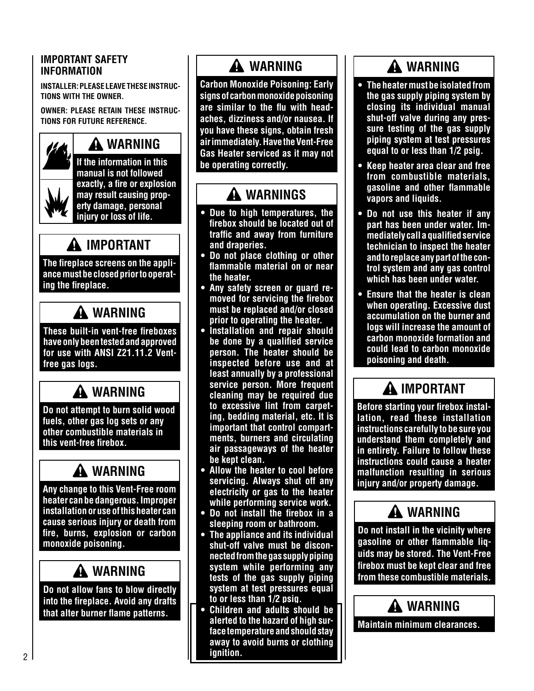### **IMPORTANT SAFETY INFORMATION**

**INSTALLER: PLEASE LEAVE THESE INSTRUC-TIONS WITH THE OWNER.**

**OWNER: PLEASE RETAIN THESE INSTRUC-TIONS FOR FUTURE REFERENCE.**

# **WARNING**

**If the information in this manual is not followed exactly, a fire or explosion may result causing property damage, personal injury or loss of life.**

# **IMPORTANT**

**The fireplace screens on the appliance must be closed prior to operating the fireplace.**

# **WARNING**

**These built-in vent-free fireboxes have only been tested and approved for use with ANSI Z21.11.2 Ventfree gas logs.**

# **WARNING**

**Do not attempt to burn solid wood fuels, other gas log sets or any other combustible materials in this vent-free firebox.**

# **WARNING**

**Any change to this Vent-Free room heater can be dangerous. Improper installation or use of this heater can cause serious injury or death from fire, burns, explosion or carbon monoxide poisoning.**

# **WARNING**

**Do not allow fans to blow directly into the fireplace. Avoid any drafts that alter burner flame patterns.**

# **WARNING**

**Carbon Monoxide Poisoning: Early signs of carbon monoxide poisoning are similar to the flu with headaches, dizziness and/or nausea. If you have these signs, obtain fresh air immediately. Have the Vent-Free Gas Heater serviced as it may not be operating correctly.**

# **WARNINGS**

- **• Due to high temperatures, the firebox should be located out of traffic and away from furniture and draperies.**
- **• Do not place clothing or other flammable material on or near the heater.**
- **• Any safety screen or guard removed for servicing the firebox must be replaced and/or closed prior to operating the heater.**
- **• Installation and repair should be done by a qualified service person. The heater should be inspected before use and at least annually by a professional service person. More frequent cleaning may be required due to excessive lint from carpeting, bedding material, etc. It is important that control compartments, burners and circulating air passageways of the heater be kept clean.**
- **• Allow the heater to cool before servicing. Always shut off any electricity or gas to the heater while performing service work.**
- **• Do not install the firebox in a sleeping room or bathroom.**
- **• The appliance and its individual shut-off valve must be disconnected from the gas supply piping system while performing any tests of the gas supply piping system at test pressures equal to or less than 1/2 psig.**
- **• Children and adults should be alerted to the hazard of high surface temperature and should stay away to avoid burns or clothing ignition.**

# **WARNING**

- **• The heater must be isolated from the gas supply piping system by closing its individual manual shut-off valve during any pressure testing of the gas supply piping system at test pressures equal to or less than 1/2 psig.**
- **• Keep heater area clear and free from combustible materials, gasoline and other flammable vapors and liquids.**
- **• Do not use this heater if any part has been under water. Immediately call a qualified service technician to inspect the heater and to replace any part of the control system and any gas control which has been under water.**
- **• Ensure that the heater is clean when operating. Excessive dust accumulation on the burner and logs will increase the amount of carbon monoxide formation and could lead to carbon monoxide poisoning and death.**

# **IMPORTANT**

**Before starting your firebox installation, read these installation instructions carefully to be sure you understand them completely and in entirety. Failure to follow these instructions could cause a heater malfunction resulting in serious injury and/or property damage.**

# **WARNING**

**Do not install in the vicinity where gasoline or other flammable liquids may be stored. The Vent-Free firebox must be kept clear and free from these combustible materials.**

# **WARNING**

**Maintain minimum clearances.**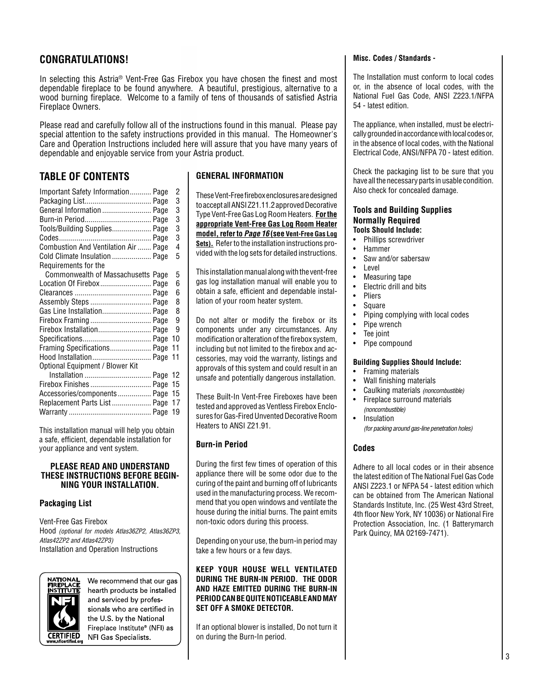### **CONGRATULATIONS!**

In selecting this Astria® Vent-Free Gas Firebox you have chosen the finest and most dependable fireplace to be found anywhere. A beautiful, prestigious, alternative to a wood burning fireplace. Welcome to a family of tens of thousands of satisfied Astria Fireplace Owners.

Please read and carefully follow all of the instructions found in this manual. Please pay special attention to the safety instructions provided in this manual. The Homeowner's Care and Operation Instructions included here will assure that you have many years of dependable and enjoyable service from your Astria product.

### **TABLE OF CONTENTS**

| Important Safety Information Page    | 2  |
|--------------------------------------|----|
| Packaging List Page                  | 3  |
| General Information  Page            | 3  |
|                                      | 3  |
| Tools/Building Supplies Page         | 3  |
|                                      | 3  |
| Combustion And Ventilation Air  Page | 4  |
| Cold Climate Insulation  Page        | 5  |
| Requirements for the                 |    |
| Commonwealth of Massachusetts Page   | 5  |
| Location Of Firebox Page             | 6  |
|                                      | 6  |
| Assembly Steps  Page                 | 8  |
| Gas Line Installation Page           | 8  |
| Firebox Framing  Page                | 9  |
| Firebox Installation Page            | 9  |
|                                      | 10 |
| Framing Specifications Page          | 11 |
| Hood Installation Page               | 11 |
| Optional Equipment / Blower Kit      |    |
|                                      | 12 |
| Firebox Finishes  Page               | 15 |
| Accessories/components Page          | 15 |
| Replacement Parts List Page          | 17 |
|                                      | 19 |
|                                      |    |

This installation manual will help you obtain a safe, efficient, dependable installation for your appliance and vent system.

#### **PLEASE READ AND UNDERSTAND THESE INSTRUCTIONS BEFORE BEGIN-NING YOUR INSTALLATION.**

### **Packaging List**

Vent-Free Gas Firebox Hood *(optional for models Atlas36ZP2, Atlas36ZP3, Atlas42ZP2 and Atlas42ZP3)* Installation and Operation Instructions



We recommend that our gas hearth products be installed and serviced by professionals who are certified in the U.S. by the National Fireplace Institute® (NFI) as NFI Gas Specialists

### **GENERAL INFORMATION**

These Vent-Free firebox enclosures are designed to accept all ANSI Z21.11.2 approved Decorative Type Vent-Free Gas Log Room Heaters. **For the appropriate Vent-Free Gas Log Room Heater model, refer to** *Page 16* **(see Vent-Free Gas Log Sets).** Refer to the installation instructions provided with the log sets for detailed instructions.

This installation manual along with the vent-free gas log installation manual will enable you to obtain a safe, efficient and dependable installation of your room heater system.

Do not alter or modify the firebox or its components under any circumstances. Any modification or alteration of the firebox system, including but not limited to the firebox and accessories, may void the warranty, listings and approvals of this system and could result in an unsafe and potentially dangerous installation.

These Built-In Vent-Free Fireboxes have been tested and approved as Ventless Firebox Enclosures for Gas-Fired Unvented Decorative Room Heaters to ANSI Z21.91.

### **Burn-in Period**

During the first few times of operation of this appliance there will be some odor due to the curing of the paint and burning off of lubricants used in the manufacturing process. We recommend that you open windows and ventilate the house during the initial burns. The paint emits non-toxic odors during this process.

Depending on your use, the burn-in period may take a few hours or a few days.

**KEEP YOUR HOUSE WELL VENTILATED DURING THE BURN-IN PERIOD. THE ODOR AND HAZE EMITTED DURING THE BURN-IN PERIOD CAN BE QUITE NOTICEABLE AND MAY SET OFF A SMOKE DETECTOR.**

If an optional blower is installed, Do not turn it on during the Burn-In period.

#### **Misc. Codes / Standards -**

The Installation must conform to local codes or, in the absence of local codes, with the National Fuel Gas Code, ANSI Z223.1/NFPA 54 - latest edition.

The appliance, when installed, must be electrically grounded in accordance with local codes or, in the absence of local codes, with the National Electrical Code, ANSI/NFPA 70 - latest edition.

Check the packaging list to be sure that you have all the necessary parts in usable condition. Also check for concealed damage.

#### **Tools and Building Supplies Normally Required Tools Should Include:**

- Phillips screwdriver
- Hammer
- Saw and/or sabersaw
- **Level**
- Measuring tape
- Electric drill and bits
- Pliers
- **Square**
- Piping complying with local codes
- Pipe wrench
- Tee joint
- Pipe compound

### **Building Supplies Should Include:**

- Framing materials
- Wall finishing materials
- Caulking materials *(noncombustible)*
- Fireplace surround materials *(noncombustible)*
- Insulation *(for packing around gas-line penetration holes)*

### **Codes**

Adhere to all local codes or in their absence the latest edition of The National Fuel Gas Code ANSI Z223.1 or NFPA 54 - latest edition which can be obtained from The American National Standards Institute, Inc. (25 West 43rd Street, 4th floor New York, NY 10036) or National Fire Protection Association, Inc. (1 Batterymarch Park Quincy, MA 02169-7471).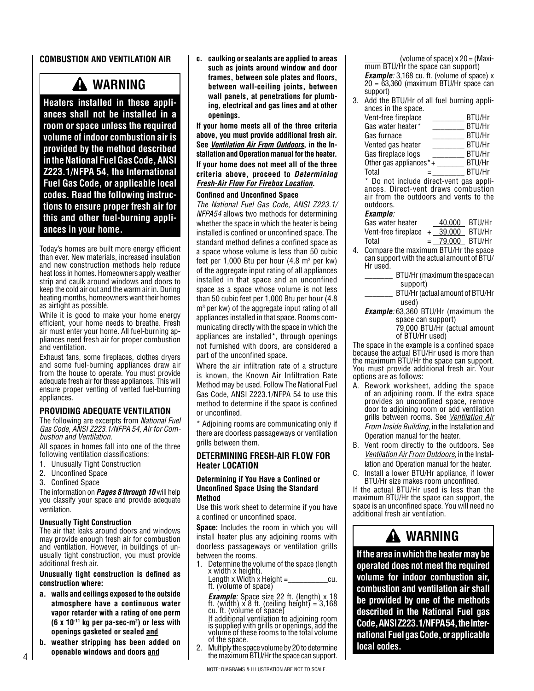#### **COMBUSTION AND VENTILATION AIR**

# **WARNING**

**Heaters installed in these appliances shall not be installed in a room or space unless the required volume of indoor combustion air is provided by the method described in the National Fuel Gas Code, ANSI Z223.1/NFPA 54, the International Fuel Gas Code, or applicable local codes. Read the following instructions to ensure proper fresh air for this and other fuel-burning appliances in your home.**

Today's homes are built more energy efficient than ever. New materials, increased insulation and new construction methods help reduce heat loss in homes. Homeowners apply weather strip and caulk around windows and doors to keep the cold air out and the warm air in. During heating months, homeowners want their homes as airtight as possible.

While it is good to make your home energy efficient, your home needs to breathe. Fresh air must enter your home. All fuel-burning appliances need fresh air for proper combustion and ventilation.

Exhaust fans, some fireplaces, clothes dryers and some fuel-burning appliances draw air from the house to operate. You must provide adequate fresh air for these appliances. This will ensure proper venting of vented fuel-burning appliances.

### **PROVIDING ADEQUATE VENTILATION**

The following are excerpts from *National Fuel Gas Code, ANSI Z223.1/NFPA 54, Air for Combustion and Ventilation*.

All spaces in homes fall into one of the three following ventilation classifications:

- 1. Unusually Tight Construction
- 2. Unconfined Space
- 3. Confined Space

The information on *Pages 8 through 10* will help you classify your space and provide adequate ventilation.

#### **Unusually Tight Construction**

The air that leaks around doors and windows may provide enough fresh air for combustion and ventilation. However, in buildings of unusually tight construction, you must provide additional fresh air.

#### **Unusually tight construction is defined as construction where:**

- **a. walls and ceilings exposed to the outside atmosphere have a continuous water vapor retarder with a rating of one perm (6 x 10-11 kg per pa-sec-m2 ) or less with openings gasketed or sealed and**
- **b. weather stripping has been added on openable windows and doors and**

**c. caulking or sealants are applied to areas such as joints around window and door frames, between sole plates and floors, between wall-ceiling joints, between wall panels, at penetrations for plumbing, electrical and gas lines and at other openings.**

**If your home meets all of the three criteria above, you must provide additional fresh air. See** *Ventilation Air From Outdoors***, in the Installation and Operation manual for the heater. If your home does not meet all of the three criteria above, proceed to** *Determining Fresh-Air Flow For Firebox Location***.**

#### **Confined and Unconfined Space**

*The National Fuel Gas Code, ANSI Z223.1/ NFPA54* allows two methods for determining whether the space in which the heater is being installed is confined or unconfined space. The standard method defines a confined space as a space whose volume is less than 50 cubic feet per 1,000 Btu per hour  $(4.8 \text{ m}^3 \text{ per kw})$ of the aggregate input rating of all appliances installed in that space and an unconfined space as a space whose volume is not less than 50 cubic feet per 1,000 Btu per hour (4.8 m3 per kw) of the aggregate input rating of all appliances installed in that space. Rooms communicating directly with the space in which the appliances are installed\*, through openings not furnished with doors, are considered a part of the unconfined space.

Where the air infiltration rate of a structure is known, the Known Air Infiltration Rate Method may be used. Follow The National Fuel Gas Code, ANSI Z223.1/NFPA 54 to use this method to determine if the space is confined or unconfined.

Adioining rooms are communicating only if there are doorless passageways or ventilation grills between them.

#### **DETERMINING FRESH-AIR FLOW FOR Heater LOCATION**

#### **Determining if You Have a Confined or Unconfined Space Using the Standard Method**

Use this work sheet to determine if you have a confined or unconfined space.

**Space:** Includes the room in which you will install heater plus any adjoining rooms with doorless passageways or ventilation grills between the rooms.

1. Determine the volume of the space (length x width x height).

Length x Width x Height =\_\_\_\_\_\_\_\_\_cu. ft. (volume of space)

*Example:* Space size 22 ft. (length) x 18<br>ft. (width) x 8 ft. (ceiling height) = 3,168<br>cu. ft. (volume of space) If additional ventilation to adjoining room

is supplied with grills or openings, add the volume of these rooms to the total volume of the space.

2. Multiply the space volume by 20 to determine the maximum BTU/Hr the space can support.

(volume of space)  $\times$  20 = (Maximum BTU/Hr the space can support) **Example**: 3,168 cu. ft. (volume of space) x 20 = 63,360 (maximum BTU/Hr space can support)

3. Add the BTU/Hr of all fuel burning appliances in the space. Vent-free fireplace \_\_\_\_\_\_\_\_ BTU/Hr Gas water heater\* BTU/Hr

| Gas furnace            | BTU/Hr        |
|------------------------|---------------|
| Vented gas heater      | <b>BTU/Hr</b> |
| Gas fireplace logs     | <b>BTU/Hr</b> |
| Other gas appliances*+ | BTU/Hr        |

Total  $=$  BTU/Hr

\* Do not include direct-vent gas appliances. Direct-vent draws combustion air from the outdoors and vents to the outdoors.

#### *Example:*

| Gas water heater                      | 40.000            | BTU/Hr |
|---------------------------------------|-------------------|--------|
| Vent-free fireplace $+$ 39,000        |                   | BTU/Hr |
| Total                                 | $= 79.000$ BTU/Hr |        |
| Compare the maximum BTIJ/Hr the space |                   |        |

4. Compare the maximum BTU/Hr the space can support with the actual amount of BTU/ Hr used.

BTU/Hr (maximum the space can support)

\_\_\_\_\_\_\_ BTU/Hr (actual amount of BTU/Hr used)

*Example:* 63,360 BTU/Hr (maximum the space can support)

 79,000 BTU/Hr (actual amount of BTU/Hr used)

The space in the example is a confined space because the actual BTU/Hr used is more than the maximum BTU/Hr the space can support. You must provide additional fresh air. Your options are as follows:

- A. Rework worksheet, adding the space of an adjoining room. If the extra space provides an unconfined space, remove door to adjoining room or add ventilation grills between rooms. See *Ventilation Air From Inside Building*, in the Installation and Operation manual for the heater.
- B. Vent room directly to the outdoors. See *Ventilation Air From Outdoors*, in the Installation and Operation manual for the heater.
- C. Install a lower BTU/Hr appliance, if lower BTU/Hr size makes room unconfined.

If the actual BTU/Hr used is less than the maximum BTU/Hr the space can support, the space is an unconfined space. You will need no additional fresh air ventilation.

### **WARNING**

**If the area in which the heater may be operated does not meet the required volume for indoor combustion air, combustion and ventilation air shall be provided by one of the methods described in the National Fuel gas Code, ANSI Z223.1/NFPA 54, the International Fuel gas Code, or applicable local codes.**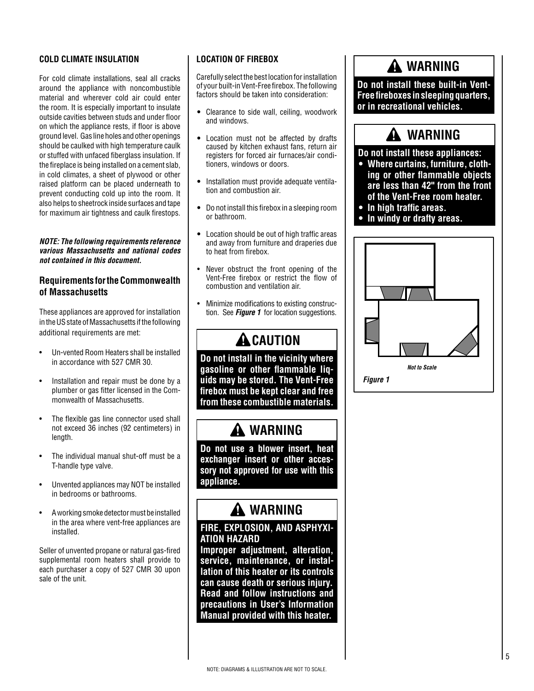### **COLD CLIMATE INSULATION**

For cold climate installations, seal all cracks around the appliance with noncombustible material and wherever cold air could enter the room. It is especially important to insulate outside cavities between studs and under floor on which the appliance rests, if floor is above ground level. Gas line holes and other openings should be caulked with high temperature caulk or stuffed with unfaced fiberglass insulation. If the fireplace is being installed on a cement slab, in cold climates, a sheet of plywood or other raised platform can be placed underneath to prevent conducting cold up into the room. It also helps to sheetrock inside surfaces and tape for maximum air tightness and caulk firestops.

#### *NOTE: The following requirements reference various Massachusetts and national codes not contained in this document.*

### **Requirements for the Commonwealth of Massachusetts**

These appliances are approved for installation in the US state of Massachusetts if the following additional requirements are met:

- Un-vented Room Heaters shall be installed in accordance with 527 CMR 30.
- Installation and repair must be done by a plumber or gas fitter licensed in the Commonwealth of Massachusetts.
- The flexible gas line connector used shall not exceed 36 inches (92 centimeters) in length.
- The individual manual shut-off must be a T-handle type valve.
- Unvented appliances may NOT be installed in bedrooms or bathrooms.
- A working smoke detector must be installed in the area where vent-free appliances are installed.

Seller of unvented propane or natural gas-fired supplemental room heaters shall provide to each purchaser a copy of 527 CMR 30 upon sale of the unit.

### **LOCATION OF FIREBOX**

Carefully select the best location for installation of your built-in Vent-Free firebox. The following factors should be taken into consideration:

- **•** Clearance to side wall, ceiling, woodwork and windows.
- **•** Location must not be affected by drafts caused by kitchen exhaust fans, return air registers for forced air furnaces/air conditioners, windows or doors.
- **•** Installation must provide adequate ventilation and combustion air.
- **•** Do not install this firebox in a sleeping room or bathroom.
- **•** Location should be out of high traffic areas and away from furniture and draperies due to heat from firebox.
- Never obstruct the front opening of the Vent-Free firebox or restrict the flow of combustion and ventilation air.
- Minimize modifications to existing construction. See *Figure 1* for location suggestions.

# **A** CAUTION

**Do not install in the vicinity where gasoline or other flammable liquids may be stored. The Vent-Free firebox must be kept clear and free from these combustible materials.**

### **WARNING**

**Do not use a blower insert, heat exchanger insert or other accessory not approved for use with this appliance.**

# **WARNING**

### **FIRE, EXPLOSION, AND ASPHYXI-ATION HAZARD**

**Improper adjustment, alteration, service, maintenance, or installation of this heater or its controls can cause death or serious injury. Read and follow instructions and precautions in User's Information Manual provided with this heater.**



 **WARNING**

**Do not install these built-in Vent-Free fireboxes in sleeping quarters,** 

*Figure 1*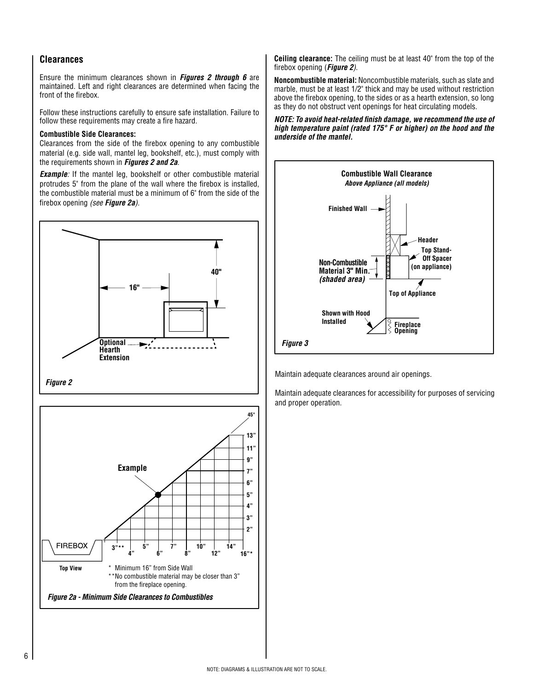### **Clearances**

Ensure the minimum clearances shown in *Figures 2 through 6* are maintained. Left and right clearances are determined when facing the front of the firebox.

Follow these instructions carefully to ensure safe installation. Failure to follow these requirements may create a fire hazard.

#### **Combustible Side Clearances:**

Clearances from the side of the firebox opening to any combustible material (e.g. side wall, mantel leg, bookshelf, etc.), must comply with the requirements shown in *Figures 2 and 2a*.

**Example**: If the mantel leg, bookshelf or other combustible material protrudes 5" from the plane of the wall where the firebox is installed, the combustible material must be a minimum of 6" from the side of the firebox opening *(see Figure 2a).*





**Ceiling clearance:** The ceiling must be at least 40" from the top of the firebox opening (*Figure 2)*.

**Noncombustible material:** Noncombustible materials, such as slate and marble, must be at least 1/2" thick and may be used without restriction above the firebox opening, to the sides or as a hearth extension, so long as they do not obstruct vent openings for heat circulating models.

*NOTE: To avoid heat-related finish damage, we recommend the use of high temperature paint (rated 175° F or higher) on the hood and the underside of the mantel.*



Maintain adequate clearances around air openings.

Maintain adequate clearances for accessibility for purposes of servicing and proper operation.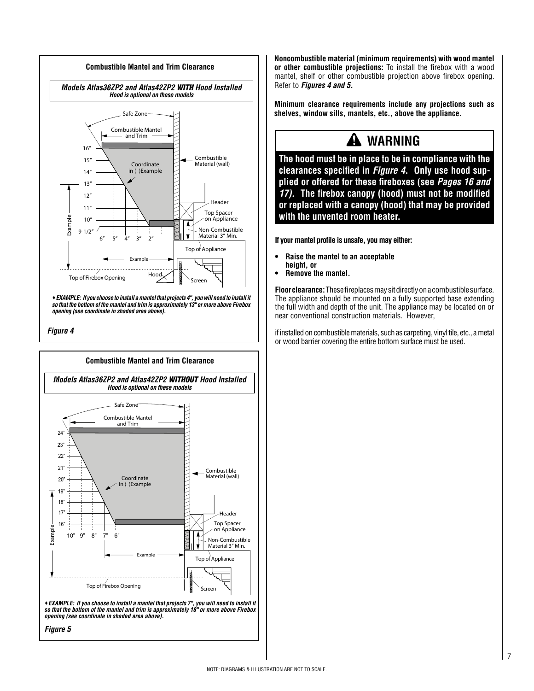



*opening (see coordinate in shaded area above).*

*Figure 5*

**Noncombustible material (minimum requirements) with wood mantel or other combustible projections:** To install the firebox with a wood mantel, shelf or other combustible projection above firebox opening. Refer to *Figures 4 and 5.*

**Minimum clearance requirements include any projections such as shelves, window sills, mantels, etc., above the appliance.**

### **WARNING**

**The hood must be in place to be in compliance with the clearances specified in** *Figure 4***. Only use hood supplied or offered for these fireboxes (see** *Pages 16 and 17).* **The firebox canopy (hood) must not be modified or replaced with a canopy (hood) that may be provided with the unvented room heater.**

**If your mantel profile is unsafe, you may either:**

- **• Raise the mantel to an acceptable height, or**
- **• Remove the mantel.**

**Floor clearance:** These fireplaces may sit directly on a combustible surface. The appliance should be mounted on a fully supported base extending the full width and depth of the unit. The appliance may be located on or near conventional construction materials. However,

if installed on combustible materials, such as carpeting, vinyl tile, etc., a metal or wood barrier covering the entire bottom surface must be used.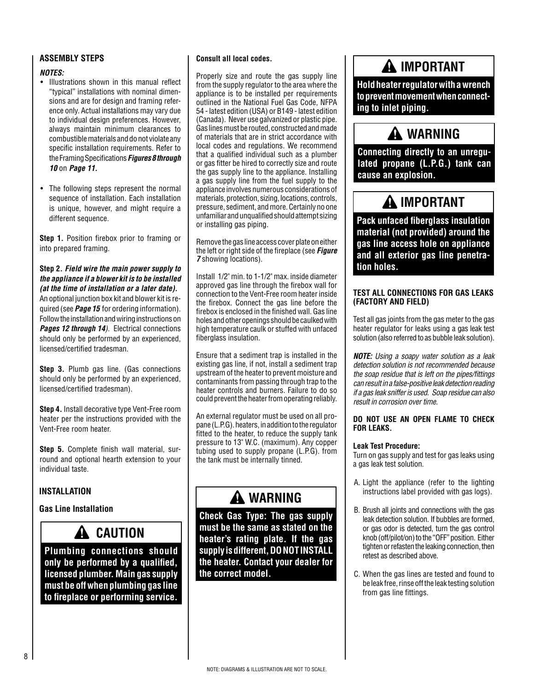### **ASSEMBLY STEPS**

### *NOTES:*

- Illustrations shown in this manual reflect "typical" installations with nominal dimensions and are for design and framing reference only. Actual installations may vary due to individual design preferences. However, always maintain minimum clearances to combustible materials and do not violate any specific installation requirements. Refer to the Framing Specifications *Figures 8 through 10* on *Page 11.*
- The following steps represent the normal sequence of installation. Each installation is unique, however, and might require a different sequence.

**Step 1.** Position firebox prior to framing or into prepared framing.

**Step 2.** *Field wire the main power supply to the appliance if a blower kit is to be installed (at the time of installation or a later date).* An optional junction box kit and blower kit is required (see *Page 15* for ordering information). Follow the installation and wiring instructions on *Pages 12 through 14).* Electrical connections should only be performed by an experienced, licensed/certified tradesman.

**Step 3.** Plumb gas line. (Gas connections should only be performed by an experienced, licensed/certified tradesman).

**Step 4.** Install decorative type Vent-Free room heater per the instructions provided with the Vent-Free room heater.

**Step 5.** Complete finish wall material, surround and optional hearth extension to your individual taste.

### **INSTALLATION**

### **Gas Line Installation**

### **CAUTION**

**Plumbing connections should only be performed by a qualified, licensed plumber. Main gas supply must be off when plumbing gas line to fireplace or performing service.**

#### **Consult all local codes.**

Properly size and route the gas supply line from the supply regulator to the area where the appliance is to be installed per requirements outlined in the National Fuel Gas Code, NFPA 54 - latest edition (USA) or B149 - latest edition (Canada). Never use galvanized or plastic pipe. Gas lines must be routed, constructed and made of materials that are in strict accordance with local codes and regulations. We recommend that a qualified individual such as a plumber or gas fitter be hired to correctly size and route the gas supply line to the appliance. Installing a gas supply line from the fuel supply to the appliance involves numerous considerations of materials, protection, sizing, locations, controls, pressure, sediment, and more. Certainly no one unfamiliar and unqualified should attempt sizing or installing gas piping.

Remove the gas line access cover plate on either the left or right side of the fireplace (see *Figure 7* showing locations).

Install 1/2" min. to 1-1/2" max. inside diameter approved gas line through the firebox wall for connection to the Vent-Free room heater inside the firebox. Connect the gas line before the firebox is enclosed in the finished wall. Gas line holes and other openings should be caulked with high temperature caulk or stuffed with unfaced fiberglass insulation.

Ensure that a sediment trap is installed in the existing gas line, if not, install a sediment trap upstream of the heater to prevent moisture and contaminants from passing through trap to the heater controls and burners. Failure to do so could prevent the heater from operating reliably.

An external regulator must be used on all propane (L.P.G). heaters, in addition to the regulator fitted to the heater, to reduce the supply tank pressure to 13" W.C. (maximum). Any copper tubing used to supply propane (L.P.G). from the tank must be internally tinned.

### **WARNING**

**Check Gas Type: The gas supply must be the same as stated on the heater's rating plate. If the gas supply is different, DO NOT INSTALL the heater. Contact your dealer for the correct model.**

### **IMPORTANT**

**Hold heater regulator with a wrench to prevent movement when connecting to inlet piping.**

### **WARNING**

**Connecting directly to an unregulated propane (L.P.G.) tank can cause an explosion.**

### **IMPORTANT**

**Pack unfaced fiberglass insulation material (not provided) around the gas line access hole on appliance and all exterior gas line penetration holes.** 

#### **TEST ALL CONNECTIONS FOR GAS LEAKS (FACTORY AND FIELD)**

Test all gas joints from the gas meter to the gas heater regulator for leaks using a gas leak test solution (also referred to as bubble leak solution).

*NOTE: Using a soapy water solution as a leak detection solution is not recommended because the soap residue that is left on the pipes/fittings can result in a false-positive leak detection reading if a gas leak sniffer is used. Soap residue can also result in corrosion over time.*

#### **DO NOT USE AN OPEN FLAME TO CHECK FOR LEAKS.**

#### **Leak Test Procedure:**

Turn on gas supply and test for gas leaks using a gas leak test solution.

- A. Light the appliance (refer to the lighting instructions label provided with gas logs).
- B. Brush all joints and connections with the gas leak detection solution. If bubbles are formed, or gas odor is detected, turn the gas control knob (off/pilot/on) to the "OFF" position. Either tighten or refasten the leaking connection, then retest as described above.
- C. When the gas lines are tested and found to be leak free, rinse off the leak testing solution from gas line fittings.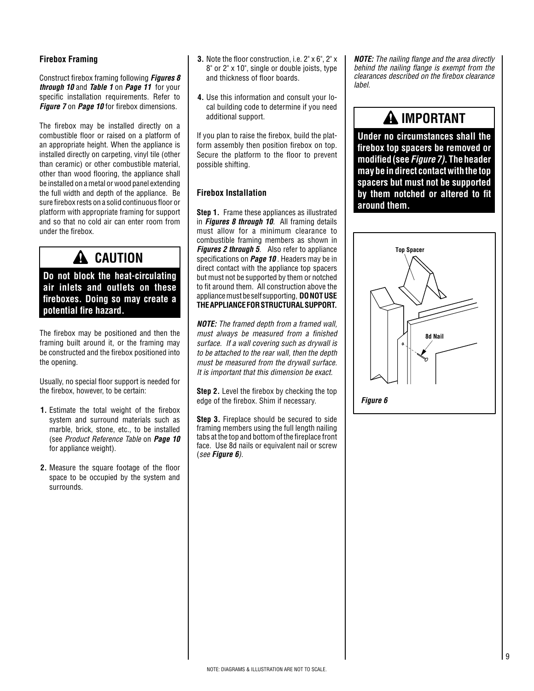#### **Firebox Framing**

Construct firebox framing following *Figures 8 through 10* and *Table 1* on *Page 11* for your specific installation requirements. Refer to *Figure 7* on *Page 10* for firebox dimensions.

The firebox may be installed directly on a combustible floor or raised on a platform of an appropriate height. When the appliance is installed directly on carpeting, vinyl tile (other than ceramic) or other combustible material, other than wood flooring, the appliance shall be installed on a metal or wood panel extending the full width and depth of the appliance. Be sure firebox rests on a solid continuous floor or platform with appropriate framing for support and so that no cold air can enter room from under the firebox.

### **A** CAUTION

**Do not block the heat-circulating air inlets and outlets on these fireboxes. Doing so may create a potential fire hazard.**

The firebox may be positioned and then the framing built around it, or the framing may be constructed and the firebox positioned into the opening.

Usually, no special floor support is needed for the firebox, however, to be certain:

- **1.** Estimate the total weight of the firebox system and surround materials such as marble, brick, stone, etc., to be installed (see *Product Reference Table* on *Page 10*  for appliance weight).
- **2.** Measure the square footage of the floor space to be occupied by the system and surrounds.
- **3.** Note the floor construction, i.e. 2" x 6", 2" x 8" or 2" x 10", single or double joists, type and thickness of floor boards.
- **4.** Use this information and consult your local building code to determine if you need additional support.

If you plan to raise the firebox, build the platform assembly then position firebox on top. Secure the platform to the floor to prevent possible shifting.

### **Firebox Installation**

**Step 1.** Frame these appliances as illustrated in *Figures 8 through 10.* All framing details must allow for a minimum clearance to combustible framing members as shown in *Figures 2 through 5*. Also refer to appliance specifications on *Page 10* . Headers may be in direct contact with the appliance top spacers but must not be supported by them or notched to fit around them. All construction above the appliance must be self supporting, **DO NOTUSE THE APPLIANCE FOR STRUCTURAL SUPPORT.** 

*NOTE: The framed depth from a framed wall, must always be measured from a finished surface. If a wall covering such as drywall is to be attached to the rear wall, then the depth must be measured from the drywall surface. It is important that this dimension be exact.*

**Step 2.** Level the firebox by checking the top edge of the firebox. Shim if necessary.

**Step 3.** Fireplace should be secured to side framing members using the full length nailing tabs at the top and bottom of the fireplace front face. Use 8d nails or equivalent nail or screw (*see Figure 6).*

*NOTE: The nailing flange and the area directly behind the nailing flange is exempt from the clearances described on the firebox clearance label.*

### **IMPORTANT**

**Under no circumstances shall the firebox top spacers be removed or modified (see** *Figure 7)***. The header may be in direct contact with the top spacers but must not be supported by them notched or altered to fit around them.**

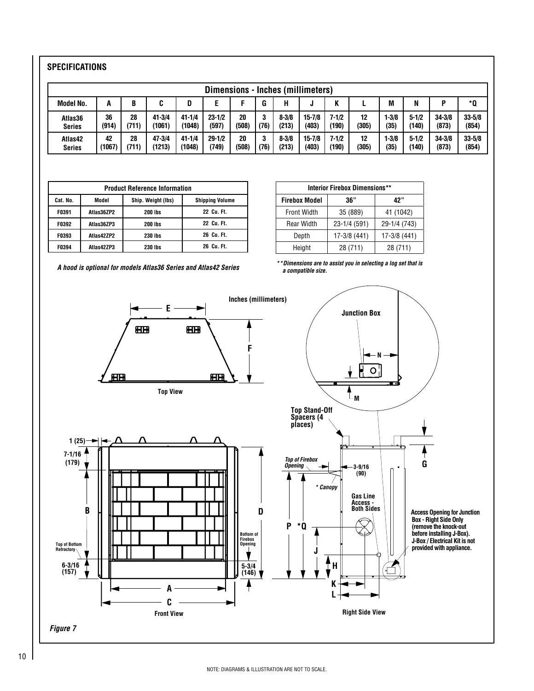### **SPECIFICATIONS**

|                  | Dimensions - Inches (millimeters) |       |            |            |            |       |      |           |            |       |       |           |           |            |            |
|------------------|-----------------------------------|-------|------------|------------|------------|-------|------|-----------|------------|-------|-------|-----------|-----------|------------|------------|
| <b>Model No.</b> | A                                 | B     |            |            |            |       | G    | н         | J          |       |       | М         | N         |            | *0         |
| Atlas36          | 36                                | 28    | $41 - 3/4$ | $41 - 1/4$ | $23 - 1/2$ | 20    | 3    | $8 - 3/8$ | $15 - 7/8$ | 7-1/2 | 12    | $1 - 3/8$ | $5 - 1/2$ | $34 - 3/8$ | $33 - 5/8$ |
| <b>Series</b>    | (914)                             | (711) | (1061)     | (1048)     | (597)      | (508) | (76) | (213)     | (403)      | (190) | (305) | (35)      | (140)     | (873)      | (854)      |
| Atlas42          | 42                                | 28    | 47-3/4     | $41 - 1/4$ | $29 - 1/2$ | 20    | 3    | $8 - 3/8$ | $15 - 7/8$ | 7-1/2 | 12    | $-3/8$    | $5 - 1/2$ | $34 - 3/8$ | $33 - 5/8$ |
| <b>Series</b>    | (1067)                            | (711) | (1213)     | (1048)     | (749)      | (508) | (76  | (213)     | (403)      | (190) | (305) | (35)      | (140)     | (873)      | (854)      |

|                                                                   | <b>Product Reference Information</b> |                |            |  |  |  |  |
|-------------------------------------------------------------------|--------------------------------------|----------------|------------|--|--|--|--|
| Cat. No.<br>Ship. Weight (lbs)<br>Model<br><b>Shipping Volume</b> |                                      |                |            |  |  |  |  |
| F0391                                                             | Atlas36ZP2                           | 200 lbs        | 22 Cu. Ft. |  |  |  |  |
| F0392                                                             | Atlas36ZP3                           | <b>200 lbs</b> | 22 Cu. Ft. |  |  |  |  |
| F0393                                                             | Atlas42ZP2                           | 230 lbs        | 26 Cu. Ft. |  |  |  |  |
| F0394                                                             | Atlas42ZP3                           | 230 lbs        | 26 Cu. Ft. |  |  |  |  |

| <b>Interior Firebox Dimensions**</b> |              |              |  |  |  |  |
|--------------------------------------|--------------|--------------|--|--|--|--|
| <b>Firebox Model</b>                 | 36"          | 42"          |  |  |  |  |
| <b>Front Width</b>                   | 35 (889)     | 41 (1042)    |  |  |  |  |
| <b>Rear Width</b>                    | 23-1/4 (591) | 29-1/4 (743) |  |  |  |  |
| Depth                                | 17-3/8 (441) | 17-3/8 (441) |  |  |  |  |
| Height                               | 28 (711)     | 28 (711)     |  |  |  |  |

*A hood is optional for models Atlas36 Series and Atlas42 Series*

*\* \* Dimensions are to assist you in selecting a log set that is a compatible size.*

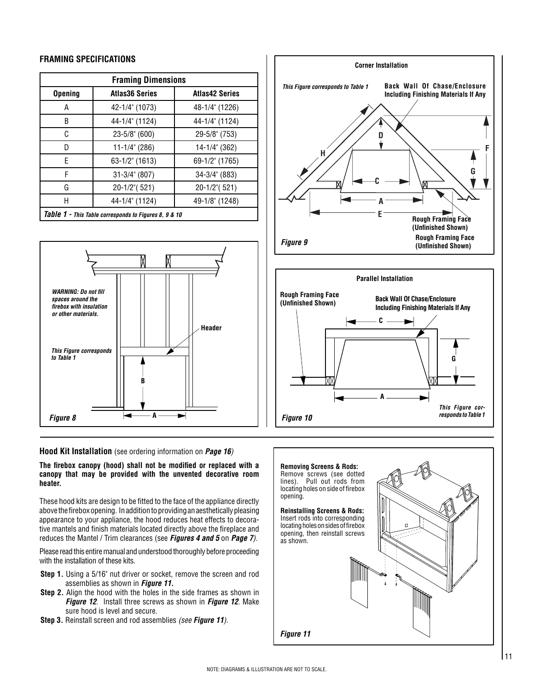#### **FRAMING SPECIFICATIONS**

|                                                       | <b>Framing Dimensions</b> |                       |  |  |  |  |
|-------------------------------------------------------|---------------------------|-----------------------|--|--|--|--|
| <b>Opening</b>                                        | <b>Atlas36 Series</b>     | <b>Atlas42 Series</b> |  |  |  |  |
| A                                                     | 42-1/4" (1073)            | 48-1/4" (1226)        |  |  |  |  |
| B                                                     | 44-1/4" (1124)            | 44-1/4" (1124)        |  |  |  |  |
| C                                                     | 23-5/8" (600)             | 29-5/8" (753)         |  |  |  |  |
| D                                                     | 11-1/4" (286)             | 14-1/4" (362)         |  |  |  |  |
| F.<br>63-1/2" (1613)                                  |                           | 69-1/2" (1765)        |  |  |  |  |
| F<br>$31 - 3/4$ " (807)                               |                           | 34-3/4" (883)         |  |  |  |  |
| G                                                     | 20-1/2" (521)             | 20-1/2" (521)         |  |  |  |  |
| Н<br>44-1/4" (1124)<br>49-1/8" (1248)                 |                           |                       |  |  |  |  |
| Table 1 - This Table corresponds to Figures 8, 9 & 10 |                           |                       |  |  |  |  |



#### **Hood Kit Installation** (see ordering information on *Page 16)*

**The firebox canopy (hood) shall not be modified or replaced with a canopy that may be provided with the unvented decorative room heater.**

These hood kits are design to be fitted to the face of the appliance directly above the firebox opening. In addition to providing an aesthetically pleasing appearance to your appliance, the hood reduces heat effects to decorative mantels and finish materials located directly above the fireplace and reduces the Mantel / Trim clearances (see *Figures 4 and 5* on *Page 7).*

Please read this entire manual and understood thoroughly before proceeding with the installation of these kits.

- **Step 1.** Using a 5/16" nut driver or socket, remove the screen and rod assemblies as shown in *Figure 11.*
- **Step 2.** Align the hood with the holes in the side frames as shown in *Figure 12*. Install three screws as shown in *Figure 12*. Make sure hood is level and secure.
- **Step 3.** Reinstall screen and rod assemblies *(see Figure 11).*





**A**

**G**

*This Figure corresponds to Table 1*

*Figure 10*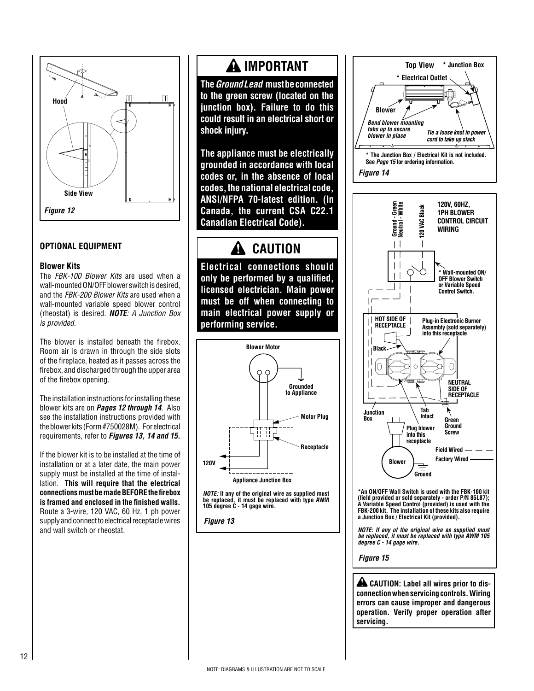

### **OPTIONAL EQUIPMENT**

#### **Blower Kits**

The *FBK-100 Blower Kits* are used when a wall-mounted ON/OFF blower switch is desired, and the *FBK-200 Blower Kits* are used when a wall-mounted variable speed blower control (rheostat) is desired. *NOTE: A Junction Box is provided.*

The blower is installed beneath the firebox. Room air is drawn in through the side slots of the fireplace, heated as it passes across the firebox, and discharged through the upper area of the firebox opening.

The installation instructions for installing these blower kits are on *Pages 12 through 14*. Also see the installation instructions provided with the blower kits (Form #750028M). For electrical requirements, refer to *Figures 13, 14 and 15.*

If the blower kit is to be installed at the time of installation or at a later date, the main power supply must be installed at the time of installation. **This will require that the electrical connections must be made BEFORE the firebox is framed and enclosed in the finished walls.**  Route a 3-wire, 120 VAC, 60 Hz, 1 ph power supply and connect to electrical receptacle wires and wall switch or rheostat.

### **IMPORTANT**

**The** *Ground Lead* **must be connected to the green screw (located on the junction box). Failure to do this could result in an electrical short or shock injury.** 

**The appliance must be electrically grounded in accordance with local codes or, in the absence of local codes, the national electrical code, ANSI/NFPA 70-latest edition. (In Canada, the current CSA C22.1 Canadian Electrical Code).**

# **CAUTION**

**Electrical connections should only be performed by a qualified, licensed electrician. Main power must be off when connecting to main electrical power supply or performing service.**





*Figure 13*





**\*An ON/OFF Wall Switch is used with the FBK-100 kit (field provided or sold separately - order P/N 85L87); A Variable Speed Control (provided) is used with the FBK-200 kit. The installation of these kits also require a Junction Box / Electrical Kit (provided).** 

*NOTE: If any of the original wire as supplied must be replaced, it must be replaced with type AWM 105* 

*Figure 15*

 **CAUTION: Label all wires prior to disconnection when servicing controls. Wiring errors can cause improper and dangerous operation. Verify proper operation after servicing.**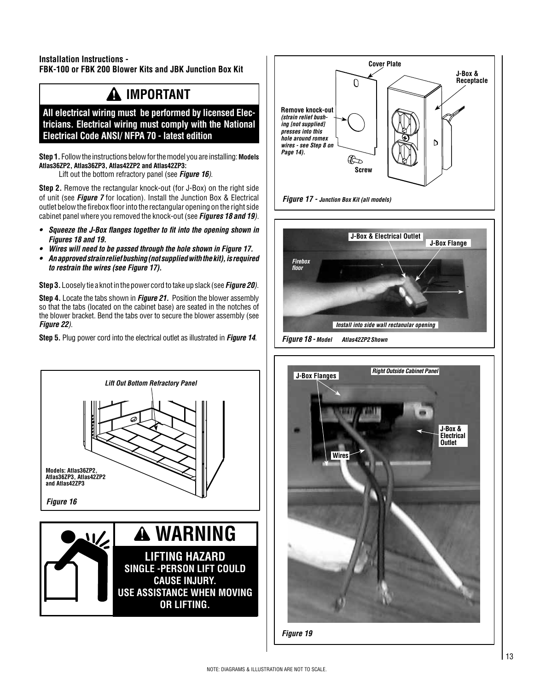### **Installation Instructions - FBK-100 or FBK 200 Blower Kits and JBK Junction Box Kit**

# **IMPORTANT**

**All electrical wiring must be performed by licensed Electricians. Electrical wiring must comply with the National Electrical Code ANSI/ NFPA 70 - latest edition**

**Step 1.** Follow the instructions below for the model you are installing: **Models Atlas36ZP2, Atlas36ZP3, Atlas42ZP2 and Atlas42ZP3:**

Lift out the bottom refractory panel (see *Figure 16)*.

**Step 2.** Remove the rectangular knock-out (for J-Box) on the right side of unit (see *Figure 7* for location). Install the Junction Box & Electrical outlet below the firebox floor into the rectangular opening on the right side cabinet panel where you removed the knock-out (see *Figures 18 and 19).* 

- *Squeeze the J-Box flanges together to fit into the opening shown in Figures 18 and 19.*
- *Wires will need to be passed through the hole shown in Figure 17.*
- *An approved strain relief bushing (not supplied with the kit), is required to restrain the wires (see Figure 17).*

**Step 3.** Loosely tie a knot in the power cord to take up slack (see *Figure 20)*.

**Step 4.** Locate the tabs shown in *Figure 21.* Position the blower assembly so that the tabs (located on the cabinet base) are seated in the notches of the blower bracket. Bend the tabs over to secure the blower assembly (see *Figure 22)*.

**Step 5.** Plug power cord into the electrical outlet as illustrated in *Figure 14*.





# *Figure 18 - Model Atlas42ZP2 Shown* **J-Box Flange** *Install into side wall rectanular opening Firebox floor* **J-Box & Electrical Outlet**



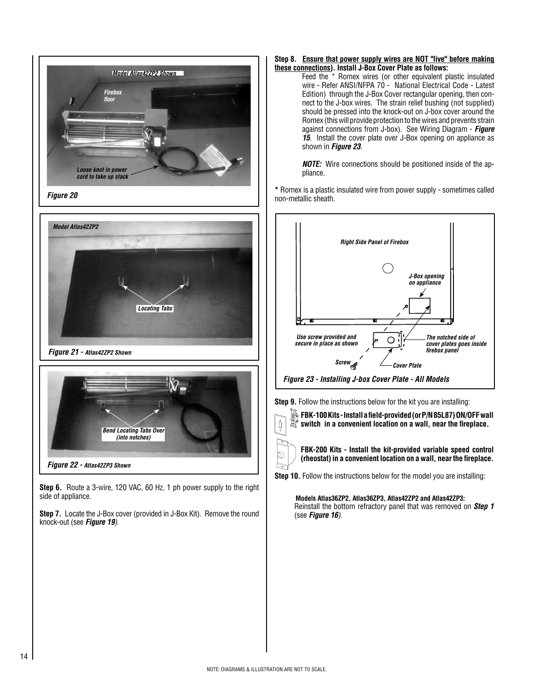





*Figure 22 - Atlas42ZP3 Shown*

**Step 6.** Route a 3-wire, 120 VAC, 60 Hz, 1 ph power supply to the right side of appliance.

**Step 7.** Locate the J-Box cover (provided in J-Box Kit). Remove the round knock-out (see *Figure 19)*.

#### **Step 8. Ensure that power supply wires are NOT "live" before making these connections). Install J-Box Cover Plate as follows:**

Feed the \* Romex wires (or other equivalent plastic insulated wire - Refer ANSI/NFPA 70 - National Electrical Code - Latest Edition) through the J-Box Cover rectangular opening, then connect to the J-box wires. The strain relief bushing (not supplied) should be pressed into the knock-out on J-box cover around the Romex (this will provide protection to the wires and prevents strain against connections from J-box). See Wiring Diagram - *Figure*  **15***.* Install the cover plate over J-Box opening on appliance as shown in *Figure 23.*

*NOTE:* Wire connections should be positioned inside of the appliance.

**\*** Romex is a plastic insulated wire from power supply - sometimes called non-metallic sheath.



*Figure 23 - Installing J-box Cover Plate - All Models*

**Step 9.** Follow the instructions below for the kit you are installing:



**FBK-100 Kits - Install a field-provided (or P/N 85L87) ON/OFF wall switch in a convenient location on a wall, near the fireplace.**



**FBK-200 Kits - Install the kit-provided variable speed control (rheostat) in a convenient location on a wall, near the fireplace.**

**Step 10.** Follow the instructions below for the model you are installing:

**Models Atlas36ZP2, Atlas36ZP3, Atlas42ZP2 and Atlas42ZP3:**  Reinstall the bottom refractory panel that was removed on *Step 1*  (see *Figure 16)*.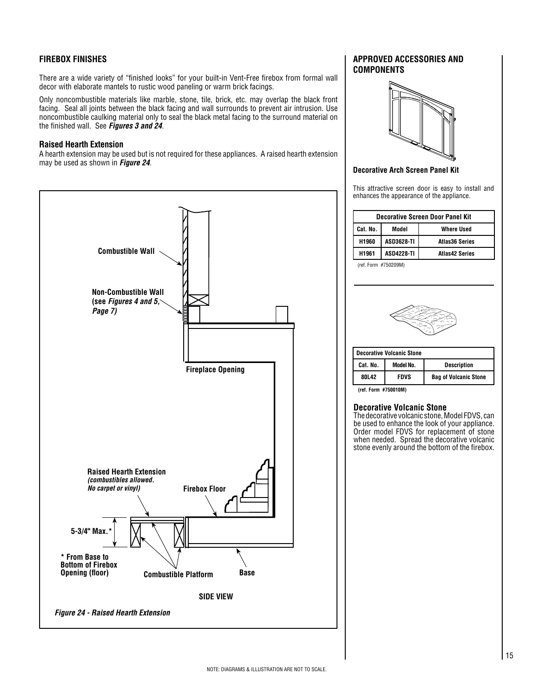### **FIREBOX FINISHES**

There are a wide variety of "finished looks" for your built-in Vent-Free firebox from formal wall decor with elaborate mantels to rustic wood paneling or warm brick facings.

Only noncombustible materials like marble, stone, tile, brick, etc. may overlap the black front facing. Seal all joints between the black facing and wall surrounds to prevent air intrusion. Use noncombustible caulking material only to seal the black metal facing to the surround material on the finished wall. See *Figures 3 and 24*.

#### **Raised Hearth Extension**

A hearth extension may be used but is not required for these appliances. A raised hearth extension may be used as shown in *Figure 24*.



#### **APPROVED ACCESSORIES AND COMPONENTS**



#### **Decorative Arch Screen Panel Kit**

This attractive screen door is easy to install and enhances the appearance of the appliance.

|          | <b>Decorative Screen Door Panel Kit</b> |                       |  |  |  |  |
|----------|-----------------------------------------|-----------------------|--|--|--|--|
| Cat. No. | Model                                   | <b>Where Used</b>     |  |  |  |  |
| H1960    | <b>ASD3628-TI</b>                       | <b>Atlas36 Series</b> |  |  |  |  |
| H1961    | <b>ASD4228-TI</b>                       | <b>Atlas42 Series</b> |  |  |  |  |
|          |                                         |                       |  |  |  |  |

(ref. Form #750209M)



|          | <b>Decorative Volcanic Stone</b> |                              |
|----------|----------------------------------|------------------------------|
| Cat. No. | Model No.                        | <b>Description</b>           |
| 801.42   | FDVS                             | <b>Bag of Volcanic Stone</b> |

**(ref. Form #750010M)**

#### **Decorative Volcanic Stone**

The decorative volcanic stone, Model FDVS, can be used to enhance the look of your appliance. Order model FDVS for replacement of stone when needed. Spread the decorative volcanic stone evenly around the bottom of the firebox.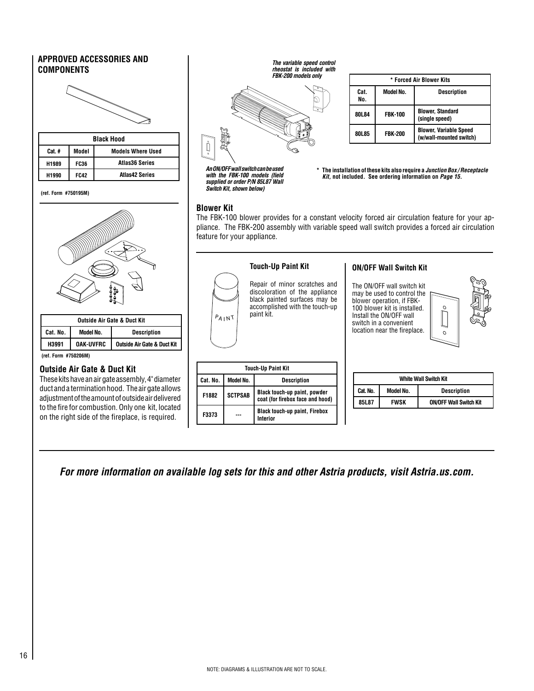### **APPROVED ACCESSORIES AND COMPONENTS**

|        |             | <b>Black Hood</b>        |  |  |  |
|--------|-------------|--------------------------|--|--|--|
| Cat. # | Model       | <b>Models Where Used</b> |  |  |  |
| H1989  | <b>FC36</b> | <b>Atlas36 Series</b>    |  |  |  |
| H1990  | <b>FC42</b> | <b>Atlas42 Series</b>    |  |  |  |

**(ref. Form #750195M)**



| <b>Outside Air Gate &amp; Duct Kit</b> |           |                                        |  |  |  |
|----------------------------------------|-----------|----------------------------------------|--|--|--|
| Cat. No.                               | Model No. | <b>Description</b>                     |  |  |  |
| <b>OAK-UVFRC</b><br>H3991              |           | <b>Outside Air Gate &amp; Duct Kit</b> |  |  |  |

#### **(ref. Form #750206M)**

#### **Outside Air Gate & Duct Kit**

These kits have an air gate assembly, 4" diameter duct and a termination hood. The air gate allows adjustment of the amount of outside air delivered to the fire for combustion. Only one kit, located on the right side of the fireplace, is required.

*The variable speed control rheostat is included with FBK-200 models only*



|             | * Forced Air Blower Kits |                                                          |  |  |  |  |
|-------------|--------------------------|----------------------------------------------------------|--|--|--|--|
| Cat.<br>No. | Model No.                | <b>Description</b>                                       |  |  |  |  |
| 80L84       | <b>FBK-100</b>           | <b>Blower, Standard</b><br>(single speed)                |  |  |  |  |
| 80L85       | <b>FBK-200</b>           | <b>Blower, Variable Speed</b><br>(w/wall-mounted switch) |  |  |  |  |

*An ON/OFF wall switch can be used with the FBK-100 models (field supplied or order P/N 85L87 Wall Switch Kit, shown below)*

 **\* The installation of these kits also require a** *Junction Box / Receptacle Kit,* **not included. See ordering information on** *Page 15.*

#### **Blower Kit**

Ď

The FBK-100 blower provides for a constant velocity forced air circulation feature for your appliance. The FBK-200 assembly with variable speed wall switch provides a forced air circulation feature for your appliance.



*For more information on available log sets for this and other Astria products, visit Astria.us.com.*

**Interior**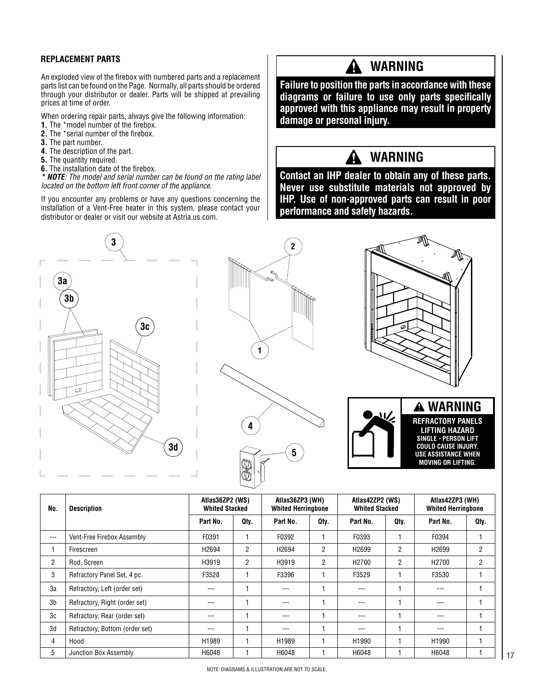An exploded view of the firebox with numbered parts and a replacement parts list can be found on the Page. Normally, all parts should be ordered through your distributor or dealer. Parts will be shipped at prevailing prices at time of order.

When ordering repair parts, always give the following information:

- **1.** The \*model number of the firebox.
- **2.** The \*serial number of the firebox.
- **3.** The part number.
- **4.** The description of the part.
- **5.** The quantity required.
- **6.** The installation date of the firebox.

*\* NOTE: The model and serial number can be found on the rating label*  **3** *located on the bottom left front corner of the appliance*.

If you encounter any problems or have any questions concerning the installation of a Vent-Free heater in this system, please contact your **4** distributor or dealer or visit our website at Astria.us.com.

# REPLACEMENT PARTS **A WARNING**

**Failure to position the parts in accordance with these diagrams or failure to use only parts specifically approved with this appliance may result in property damage or personal injury.**

### **WARNING**

**Contact an IHP dealer to obtain any of these parts. Never use substitute materials not approved by 2 IHP. Use of non-approved parts can result in poor performance and safety hazards.**









| No.            | <b>Description</b>             | Atlas36ZP2 (WS)<br><b>Whited Stacked</b> |      | Atlas36ZP3 (WH)<br><b>Whited Herringbone</b> |                | Atlas42ZP2 (WS)<br><b>Whited Stacked</b> |                | Atlas42ZP3 (WH)<br><b>Whited Herringbone</b> |                |
|----------------|--------------------------------|------------------------------------------|------|----------------------------------------------|----------------|------------------------------------------|----------------|----------------------------------------------|----------------|
|                |                                | Part No.                                 | Qty. | Part No.                                     | Qtv.           | Part No.                                 | Qtv.           | Part No.                                     | Qty.           |
| $---$          | Vent-Free Firebox Assembly     | F0391                                    |      | F0392                                        |                | F0393                                    |                | F0394                                        |                |
|                | Firescreen                     | H <sub>2694</sub>                        | 2    | H2694                                        | $\overline{2}$ | H <sub>2699</sub>                        | $\overline{2}$ | H <sub>2699</sub>                            | $\overline{2}$ |
| $\overline{2}$ | Rod, Screen                    | H3919                                    | 2    | H3919                                        | $\overline{2}$ | H <sub>2700</sub>                        | $\overline{2}$ | H <sub>2700</sub>                            | $\overline{2}$ |
| 3              | Refractory Panel Set, 4 pc.    | F3528                                    |      | F3396                                        |                | F3529                                    |                | F3530                                        |                |
| 3a             | Refractory, Left (order set)   | ---                                      |      | ---                                          |                | $-- -$                                   |                | $- - -$                                      |                |
| 3b             | Refractory, Right (order set)  | ---                                      |      | ---                                          |                | $---$                                    |                | ---                                          |                |
| 3c             | Refractory, Rear (order set)   | ---                                      |      | ---                                          |                | $---$                                    |                | $- - -$                                      |                |
| 3d             | Refractory, Bottom (order set) | ---                                      |      | $---$                                        |                | $- - -$                                  |                | $- - -$                                      |                |
| 4              | Hood                           | H1989                                    |      | H1989                                        |                | H1990                                    |                | H1990                                        |                |
| 5              | Junction Box Assembly          | H6048                                    |      | H6048                                        |                | H6048                                    |                | H6048                                        |                |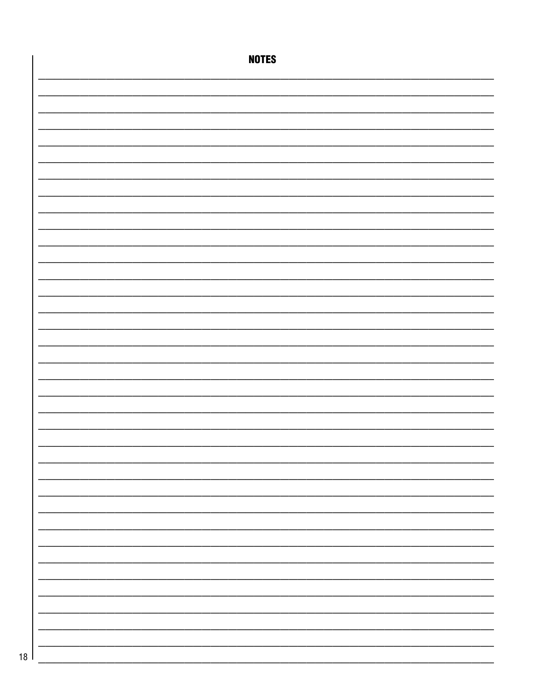|      | <b>NOTES</b> |
|------|--------------|
|      |              |
|      |              |
|      |              |
|      |              |
|      |              |
|      |              |
|      |              |
|      |              |
|      |              |
|      |              |
|      |              |
|      |              |
|      |              |
|      |              |
|      |              |
|      |              |
|      |              |
|      |              |
|      |              |
|      |              |
|      |              |
|      |              |
|      |              |
|      |              |
|      |              |
|      |              |
|      |              |
|      |              |
|      |              |
| 18 l |              |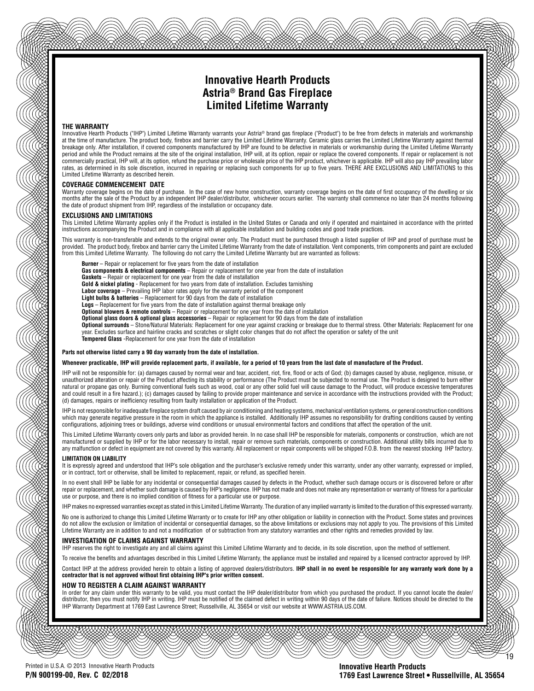### **Innovative Hearth Products Astria® Brand Gas Fireplace Limited Lifetime Warranty**

#### **THE WARRANTY**

Innovative Hearth Products ("IHP") Limited Lifetime Warranty warrants your Astria® brand gas fireplace ("Product") to be free from defects in materials and workmanship at the time of manufacture. The product body, firebox and barrier carry the Limited Lifetime Warranty. Ceramic glass carries the Limited Lifetime Warranty against thermal breakage only. After installation, if covered components manufactured by IHP are found to be defective in materials or workmanship during the Limited Lifetime Warranty period and while the Product remains at the site of the original installation, IHP will, at its option, repair or replace the covered components. If repair or replacement is not commercially practical, IHP will, at its option, refund the purchase price or wholesale price of the IHP product, whichever is applicable. IHP will also pay IHP prevailing labor rates, as determined in its sole discretion, incurred in repairing or replacing such components for up to five years. THERE ARE EXCLUSIONS AND LIMITATIONS to this Limited Lifetime Warranty as described herein.

#### **COVERAGE COMMENCEMENT DATE**

Warranty coverage begins on the date of purchase. In the case of new home construction, warranty coverage begins on the date of first occupancy of the dwelling or six months after the sale of the Product by an independent IHP dealer/distributor, whichever occurs earlier. The warranty shall commence no later than 24 months following the date of product shipment from IHP, regardless of the installation or occupancy date.

#### **EXCLUSIONS AND LIMITATIONS**

This Limited Lifetime Warranty applies only if the Product is installed in the United States or Canada and only if operated and maintained in accordance with the printed instructions accompanying the Product and in compliance with all applicable installation and building codes and good trade practices.

This warranty is non-transferable and extends to the original owner only. The Product must be purchased through a listed supplier of IHP and proof of purchase must be provided. The product body, firebox and barrier carry the Limited Lifetime Warranty from the date of installation. Vent components, trim components and paint are excluded from this Limited Lifetime Warranty. The following do not carry the Limited Lifetime Warranty but are warranted as follows:

- **Burner** Repair or replacement for five years from the date of installation
- **Gas components & electrical components** Repair or replacement for one year from the date of installation
- **Gaskets** Repair or replacement for one year from the date of installation
- **Gold & nickel plating** Replacement for two years from date of installation. Excludes tarnishing
- **Labor coverage** Prevailing IHP labor rates apply for the warranty period of the component
- **Light bulbs & batteries** Replacement for 90 days from the date of installation
- **Logs** Replacement for five years from the date of installation against thermal breakage only **Optional blowers & remote controls** – Repair or replacement for one year from the date of installation
- 
- **Optional glass doors & optional glass accessories**  Repair or replacement for 90 days from the date of installation
- **Optional surrounds** Stone/Natural Materials: Replacement for one year against cracking or breakage due to thermal stress. Other Materials: Replacement for one year. Excludes surface and hairline cracks and scratches or slight color changes that do not affect the operation or safety of the unit
- **Tempered Glass** -Replacement for one year from the date of installation

#### **Parts not otherwise listed carry a 90 day warranty from the date of installation.**

#### **Whenever practicable, IHP will provide replacement parts, if available, for a period of 10 years from the last date of manufacture of the Product.**

IHP will not be responsible for: (a) damages caused by normal wear and tear, accident, riot, fire, flood or acts of God; (b) damages caused by abuse, negligence, misuse, or unauthorized alteration or repair of the Product affecting its stability or performance (The Product must be subjected to normal use. The Product is designed to burn either natural or propane gas only. Burning conventional fuels such as wood, coal or any other solid fuel will cause damage to the Product, will produce excessive temperatures and could result in a fire hazard.); (c) damages caused by failing to provide proper maintenance and service in accordance with the instructions provided with the Product; (d) damages, repairs or inefficiency resulting from faulty installation or application of the Product.

IHP is not responsible for inadequate fireplace system draft caused by air conditioning and heating systems, mechanical ventilation systems, or general construction conditions which may generate negative pressure in the room in which the appliance is installed. Additionally IHP assumes no responsibility for drafting conditions caused by venting configurations, adjoining trees or buildings, adverse wind conditions or unusual environmental factors and conditions that affect the operation of the unit.

This Limited Lifetime Warranty covers only parts and labor as provided herein. In no case shall IHP be responsible for materials, components or construction, which are not manufactured or supplied by IHP or for the labor necessary to install, repair or remove such materials, components or construction. Additional utility bills incurred due to any malfunction or defect in equipment are not covered by this warranty. All replacement or repair components will be shipped F.O.B. from the nearest stocking IHP factory.

#### **LIMITATION ON LIABILITY**

It is expressly agreed and understood that IHP's sole obligation and the purchaser's exclusive remedy under this warranty, under any other warranty, expressed or implied, or in contract, tort or otherwise, shall be limited to replacement, repair, or refund, as specified herein.

In no event shall IHP be liable for any incidental or consequential damages caused by defects in the Product, whether such damage occurs or is discovered before or after repair or replacement, and whether such damage is caused by IHP's negligence. IHP has not made and does not make any representation or warranty of fitness for a particular use or purpose, and there is no implied condition of fitness for a particular use or purpose.

IHP makes no expressed warranties except as stated in this Limited Lifetime Warranty. The duration of any implied warranty is limited to the duration of this expressed warranty.

No one is authorized to change this Limited Lifetime Warranty or to create for IHP any other obligation or liability in connection with the Product. Some states and provinces do not allow the exclusion or limitation of incidental or consequential damages, so the above limitations or exclusions may not apply to you. The provisions of this Limited<br>Lifetime Warranty are in addition to and not a mo

#### **INVESTIGATION OF CLAIMS AGAINST WARRANTY**

IHP reserves the right to investigate any and all claims against this Limited Lifetime Warranty and to decide, in its sole discretion, upon the method of settlement.

To receive the benefits and advantages described in this Limited Lifetime Warranty, the appliance must be installed and repaired by a licensed contractor approved by IHP. Contact IHP at the address provided herein to obtain a listing of approved dealers/distributors. **IHP shall in no event be responsible for any warranty work done by a contractor that is not approved without first obtaining IHP's prior written consent.**

#### **HOW TO REGISTER A CLAIM AGAINST WARRANTY**

In order for any claim under this warranty to be valid, you must contact the IHP dealer/distributor from which you purchased the product. If you cannot locate the dealer/ distributor, then you must notify IHP in writing. IHP must be notified of the claimed defect in writing within 90 days of the date of failure. Notices should be directed to the IHP Warranty Department at 1769 East Lawrence Street; Russellville, AL 35654 or visit our website at WWW.ASTRIA.US.COM.

Printed in U.S.A. © 2013 Innovative Hearth Products **P/N 900199-00, Rev. C 02/2018**

#### **Innovative Hearth Products 1769 East Lawrence Street • Russellville, AL 35654**

19